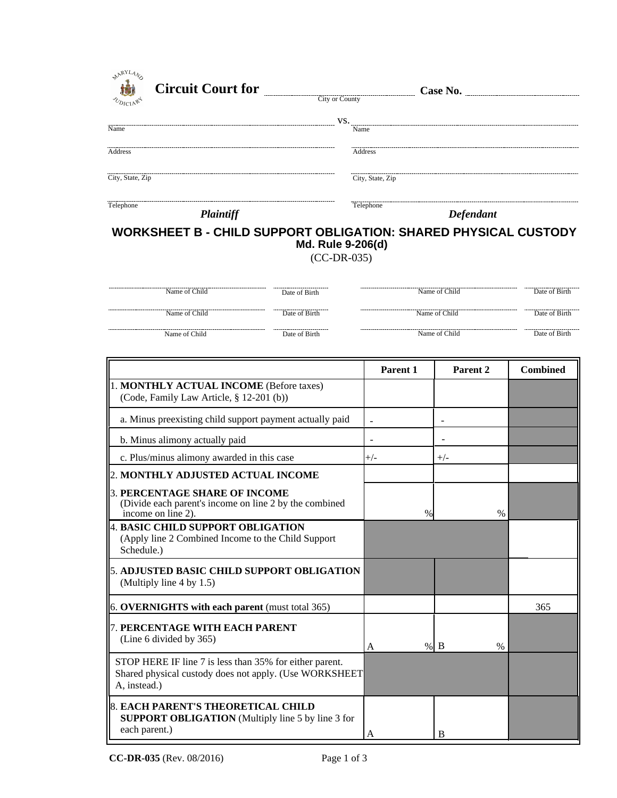| <b>AARYLANS</b><br>TODICIARY<br><b>Circuit Court for</b> | City or County                     | Case No.                                                               |               |
|----------------------------------------------------------|------------------------------------|------------------------------------------------------------------------|---------------|
|                                                          |                                    |                                                                        |               |
|                                                          | VS.                                |                                                                        |               |
| Name                                                     |                                    | Name                                                                   |               |
| Address                                                  |                                    | Address                                                                |               |
| City, State, Zip                                         |                                    | City, State, Zip                                                       |               |
| Telephone<br>Plaintiff                                   |                                    | Telephone<br><b>Defendant</b>                                          |               |
|                                                          | Md. Rule 9-206(d)<br>$(CC-DR-035)$ | <b>WORKSHEET B - CHILD SUPPORT OBLIGATION: SHARED PHYSICAL CUSTODY</b> |               |
| Name of Child                                            | Date of Birth                      | Name of Child                                                          | Date of Birth |
| Name of Child                                            | Date of Birth                      | Name of Child                                                          | Date of Birth |

Name of Child Name of Child Name of Child Date of Birth Name of Child **Date of Birth** 

Date of Birth

**Parent 1 Parent 2 Combined** 1. **MONTHLY ACTUAL INCOME** (Before taxes) (Code, Family Law Article, § 12-201 (b)) a. Minus preexisting child support payment actually paid b. Minus alimony actually paid c. Plus/minus alimony awarded in this case 2. **MONTHLY ADJUSTED ACTUAL INCOME** 4. **BASIC CHILD SUPPORT OBLIGATION** (Apply line 2 Combined Income to the Child Support Schedule.) 5. **ADJUSTED BASIC CHILD SUPPORT OBLIGATION** (Multiply line 4 by 1.5) 6. **OVERNIGHTS with each parent** (must total 365) 365 7. **PERCENTAGE WITH EACH PARENT** (Line 6 divided by 365) STOP HERE IF line 7 is less than 35% for either parent. Shared physical custody does not apply. (Use WORKSHEET A, instead.) 3. **PERCENTAGE SHARE OF INCOME** (Divide each parent's income on line 2 by the combined income on line 2). - - +/- - - +/- A % % B B 8. **EACH PARENT'S THEORETICAL CHILD SUPPORT OBLIGATION** (Multiply line 5 by line 3 for each parent.)  $\%$  %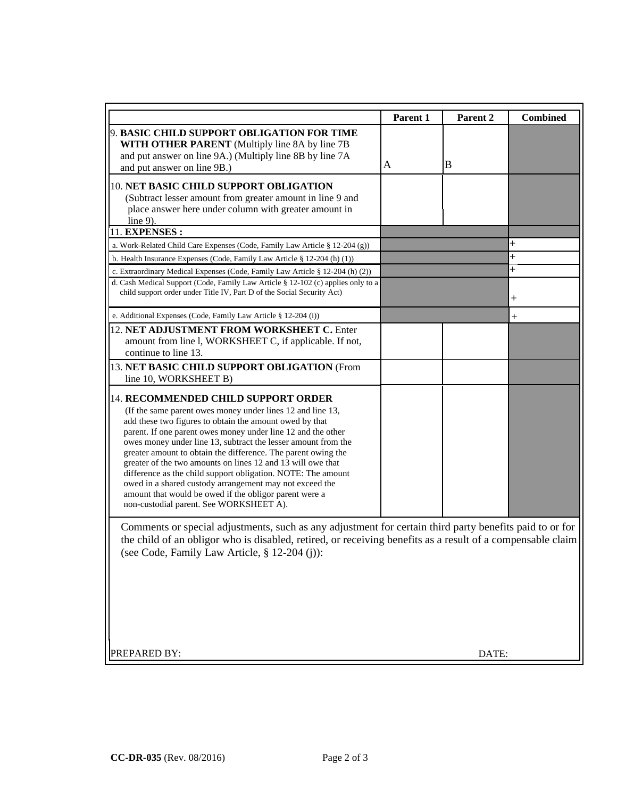|                                                                                                                                                                                                                                                                                                                                                                                                                                                                                                                                                                                                                                                               | Parent 1 | Parent <sub>2</sub> | <b>Combined</b>    |  |  |
|---------------------------------------------------------------------------------------------------------------------------------------------------------------------------------------------------------------------------------------------------------------------------------------------------------------------------------------------------------------------------------------------------------------------------------------------------------------------------------------------------------------------------------------------------------------------------------------------------------------------------------------------------------------|----------|---------------------|--------------------|--|--|
| 9. BASIC CHILD SUPPORT OBLIGATION FOR TIME<br>WITH OTHER PARENT (Multiply line 8A by line 7B<br>and put answer on line 9A.) (Multiply line 8B by line 7A<br>and put answer on line 9B.)                                                                                                                                                                                                                                                                                                                                                                                                                                                                       | А        | B                   |                    |  |  |
| 10. NET BASIC CHILD SUPPORT OBLIGATION<br>(Subtract lesser amount from greater amount in line 9 and<br>place answer here under column with greater amount in<br>line $9$ ).                                                                                                                                                                                                                                                                                                                                                                                                                                                                                   |          |                     |                    |  |  |
| 11. EXPENSES:                                                                                                                                                                                                                                                                                                                                                                                                                                                                                                                                                                                                                                                 |          |                     |                    |  |  |
| a. Work-Related Child Care Expenses (Code, Family Law Article § 12-204 (g))                                                                                                                                                                                                                                                                                                                                                                                                                                                                                                                                                                                   |          |                     | ╄                  |  |  |
| b. Health Insurance Expenses (Code, Family Law Article § 12-204 (h) (1))                                                                                                                                                                                                                                                                                                                                                                                                                                                                                                                                                                                      |          |                     | $\overline{+}$     |  |  |
| c. Extraordinary Medical Expenses (Code, Family Law Article § 12-204 (h) (2))                                                                                                                                                                                                                                                                                                                                                                                                                                                                                                                                                                                 |          |                     | $\ddag$            |  |  |
| d. Cash Medical Support (Code, Family Law Article § 12-102 (c) applies only to a<br>child support order under Title IV, Part D of the Social Security Act)                                                                                                                                                                                                                                                                                                                                                                                                                                                                                                    |          |                     | $\hspace{0.1mm} +$ |  |  |
| e. Additional Expenses (Code, Family Law Article § 12-204 (i))                                                                                                                                                                                                                                                                                                                                                                                                                                                                                                                                                                                                |          |                     | $+$                |  |  |
| 12. NET ADJUSTMENT FROM WORKSHEET C. Enter<br>amount from line l, WORKSHEET C, if applicable. If not,<br>continue to line 13.                                                                                                                                                                                                                                                                                                                                                                                                                                                                                                                                 |          |                     |                    |  |  |
| 13. NET BASIC CHILD SUPPORT OBLIGATION (From<br>line 10, WORKSHEET B)                                                                                                                                                                                                                                                                                                                                                                                                                                                                                                                                                                                         |          |                     |                    |  |  |
| 14. RECOMMENDED CHILD SUPPORT ORDER<br>(If the same parent owes money under lines 12 and line 13,<br>add these two figures to obtain the amount owed by that<br>parent. If one parent owes money under line 12 and the other<br>owes money under line 13, subtract the lesser amount from the<br>greater amount to obtain the difference. The parent owing the<br>greater of the two amounts on lines 12 and 13 will owe that<br>difference as the child support obligation. NOTE: The amount<br>owed in a shared custody arrangement may not exceed the<br>amount that would be owed if the obligor parent were a<br>non-custodial parent. See WORKSHEET A). |          |                     |                    |  |  |
| Comments or special adjustments, such as any adjustment for certain third party benefits paid to or for<br>the child of an obligor who is disabled, retired, or receiving benefits as a result of a compensable claim<br>(see Code, Family Law Article, § 12-204 (j)):                                                                                                                                                                                                                                                                                                                                                                                        |          |                     |                    |  |  |
| PREPARED BY:                                                                                                                                                                                                                                                                                                                                                                                                                                                                                                                                                                                                                                                  | DATE:    |                     |                    |  |  |